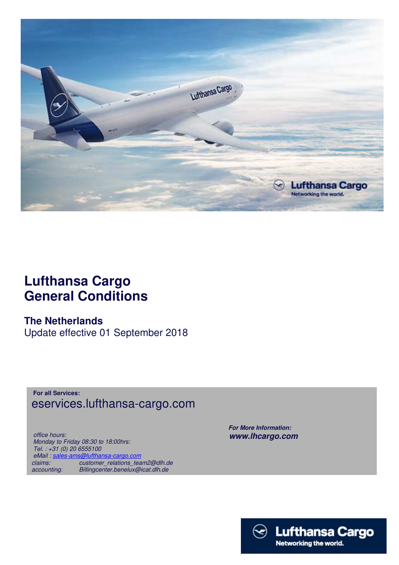

# **Lufthansa Cargo General Conditions**

## **The Netherlands**

Update effective 01 September 2018

**For all Services:** eservices.lufthansa-cargo.com

 *office hours: Monday to Friday 08:30 to 18:00hrs: Tel. : +31 (0) 20 6555100 eMail : sales-ams@lufthansa-cargo.com claims: customer\_relations\_team2@dlh.de accounting: Billingcenter.benelux@icat.dlh.de*

 *For More Information: www.lhcargo.com* 

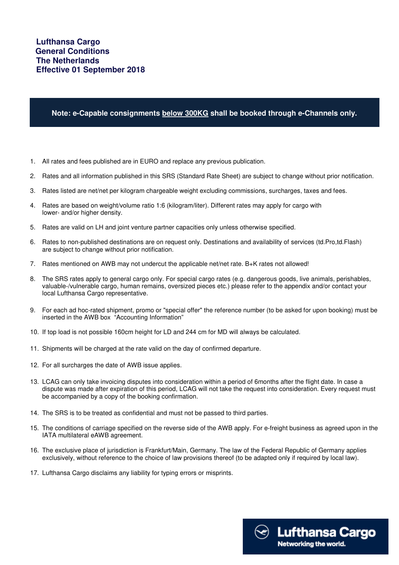#### **Note: e-Capable consignments below 300KG shall be booked through e-Channels only.**

- 1. All rates and fees published are in EURO and replace any previous publication.
- 2. Rates and all information published in this SRS (Standard Rate Sheet) are subject to change without prior notification.
- 3. Rates listed are net/net per kilogram chargeable weight excluding commissions, surcharges, taxes and fees.
- 4. Rates are based on weight/volume ratio 1:6 (kilogram/liter). Different rates may apply for cargo with lower- and/or higher density.
- 5. Rates are valid on LH and joint venture partner capacities only unless otherwise specified.
- 6. Rates to non-published destinations are on request only. Destinations and availability of services (td.Pro,td.Flash) are subject to change without prior notification.
- 7. Rates mentioned on AWB may not undercut the applicable net/net rate. B+K rates not allowed!
- 8. The SRS rates apply to general cargo only. For special cargo rates (e.g. dangerous goods, live animals, perishables, valuable-/vulnerable cargo, human remains, oversized pieces etc.) please refer to the appendix and/or contact your local Lufthansa Cargo representative.
- 9. For each ad hoc-rated shipment, promo or "special offer" the reference number (to be asked for upon booking) must be inserted in the AWB box "Accounting Information"
- 10. If top load is not possible 160cm height for LD and 244 cm for MD will always be calculated.
- 11. Shipments will be charged at the rate valid on the day of confirmed departure.
- 12. For all surcharges the date of AWB issue applies.
- 13. LCAG can only take invoicing disputes into consideration within a period of 6months after the flight date. In case a dispute was made after expiration of this period, LCAG will not take the request into consideration. Every request must be accompanied by a copy of the booking confirmation.
- 14. The SRS is to be treated as confidential and must not be passed to third parties.
- 15. The conditions of carriage specified on the reverse side of the AWB apply. For e-freight business as agreed upon in the IATA multilateral eAWB agreement.
- 16. The exclusive place of jurisdiction is Frankfurt/Main, Germany. The law of the Federal Republic of Germany applies exclusively, without reference to the choice of law provisions thereof (to be adapted only if required by local law).
- 17. Lufthansa Cargo disclaims any liability for typing errors or misprints.

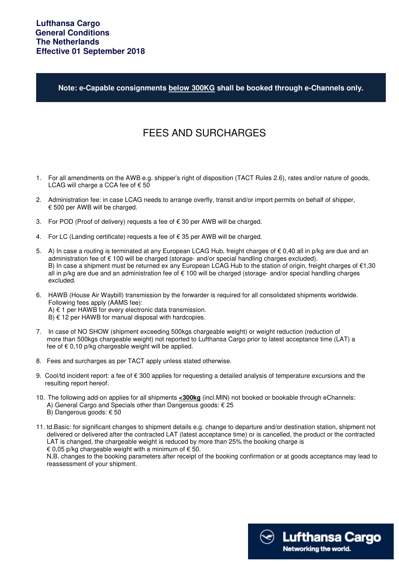**Note: e-Capable consignments below 300KG shall be booked through e-Channels only.**

## FEES AND SURCHARGES

- 1. For all amendments on the AWB e.g. shipper's right of disposition (TACT Rules 2.6), rates and/or nature of goods, LCAG will charge a CCA fee of  $\epsilon$  50
- 2. Administration fee: in case LCAG needs to arrange overfly, transit and/or import permits on behalf of shipper, € 500 per AWB will be charged.
- 3. For POD (Proof of delivery) requests a fee of  $€ 30$  per AWB will be charged.
- 4. For LC (Landing certificate) requests a fee of € 35 per AWB will be charged.
- 5. A) In case a routing is terminated at any European LCAG Hub, freight charges of € 0,40 all in p/kg are due and an administration fee of € 100 will be charged (storage- and/or special handling charges excluded). B) In case a shipment must be returned ex any European LCAG Hub to the station of origin, freight charges of €1,30 all in p/kg are due and an administration fee of € 100 will be charged (storage- and/or special handling charges excluded.
- 6. HAWB (House Air Waybill) transmission by the forwarder is required for all consolidated shipments worldwide. Following fees apply (AAMS fee): A) € 1 per HAWB for every electronic data transmission.  $B$ )  $\in$  12 per HAWB for manual disposal with hardcopies.
- 7. In case of NO SHOW (shipment exceeding 500kgs chargeable weight) or weight reduction (reduction of more than 500kgs chargeable weight) not reported to Lufthansa Cargo prior to latest acceptance time (LAT) a fee of  $\epsilon$  0,10 p/kg chargeable weight will be applied.
- 8. Fees and surcharges as per TACT apply unless stated otherwise.
- 9. Cool/td incident report: a fee of  $\epsilon$  300 applies for requesting a detailed analysis of temperature excursions and the resulting report hereof.
- 10. The following add-on applies for all shipments **<300kg** (incl.MIN) not booked or bookable through eChannels: A) General Cargo and Specials other than Dangerous goods: € 25 B) Dangerous goods: € 50
- 11. td.Basic: for significant changes to shipment details e.g. change to departure and/or destination station, shipment not delivered or delivered after the contracted LAT (latest acceptance time) or is cancelled, the product or the contracted LAT is changed, the chargeable weight is reduced by more than 25% the booking charge is € 0,05 p/kg chargeable weight with a minimum of  $€$  50.

 N.B. changes to the booking parameters after receipt of the booking confirmation or at goods acceptance may lead to reassessment of your shipment.